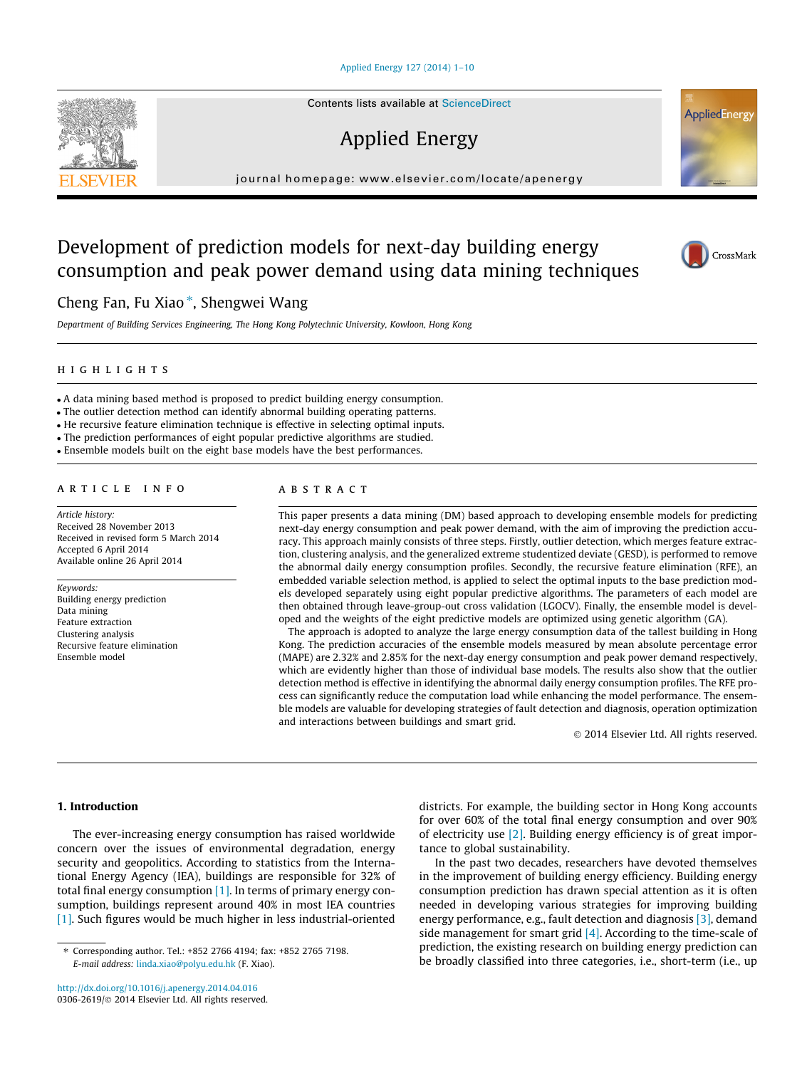## [Applied Energy 127 \(2014\) 1–10](http://dx.doi.org/10.1016/j.apenergy.2014.04.016)



Contents lists available at [ScienceDirect](http://www.sciencedirect.com/science/journal/03062619)

# Applied Energy

journal homepage: [www.elsevier.com/locate/apenergy](http://www.elsevier.com/locate/apenergy)

# Development of prediction models for next-day building energy consumption and peak power demand using data mining techniques



**AppliedEnergy** 



Cheng Fan, Fu Xiao<sup>\*</sup>, Shengwei Wang

Department of Building Services Engineering, The Hong Kong Polytechnic University, Kowloon, Hong Kong

## highlights

- A data mining based method is proposed to predict building energy consumption.

- The outlier detection method can identify abnormal building operating patterns.

- He recursive feature elimination technique is effective in selecting optimal inputs.

- The prediction performances of eight popular predictive algorithms are studied.

- Ensemble models built on the eight base models have the best performances.

## article info

Article history: Received 28 November 2013 Received in revised form 5 March 2014 Accepted 6 April 2014 Available online 26 April 2014

Keywords: Building energy prediction Data mining Feature extraction Clustering analysis Recursive feature elimination Ensemble model

#### **ABSTRACT**

This paper presents a data mining (DM) based approach to developing ensemble models for predicting next-day energy consumption and peak power demand, with the aim of improving the prediction accuracy. This approach mainly consists of three steps. Firstly, outlier detection, which merges feature extraction, clustering analysis, and the generalized extreme studentized deviate (GESD), is performed to remove the abnormal daily energy consumption profiles. Secondly, the recursive feature elimination (RFE), an embedded variable selection method, is applied to select the optimal inputs to the base prediction models developed separately using eight popular predictive algorithms. The parameters of each model are then obtained through leave-group-out cross validation (LGOCV). Finally, the ensemble model is developed and the weights of the eight predictive models are optimized using genetic algorithm (GA).

The approach is adopted to analyze the large energy consumption data of the tallest building in Hong Kong. The prediction accuracies of the ensemble models measured by mean absolute percentage error (MAPE) are 2.32% and 2.85% for the next-day energy consumption and peak power demand respectively, which are evidently higher than those of individual base models. The results also show that the outlier detection method is effective in identifying the abnormal daily energy consumption profiles. The RFE process can significantly reduce the computation load while enhancing the model performance. The ensemble models are valuable for developing strategies of fault detection and diagnosis, operation optimization and interactions between buildings and smart grid.

- 2014 Elsevier Ltd. All rights reserved.

#### 1. Introduction

The ever-increasing energy consumption has raised worldwide concern over the issues of environmental degradation, energy security and geopolitics. According to statistics from the International Energy Agency (IEA), buildings are responsible for 32% of total final energy consumption [\[1\]](#page--1-0). In terms of primary energy consumption, buildings represent around 40% in most IEA countries [\[1\]](#page--1-0). Such figures would be much higher in less industrial-oriented

districts. For example, the building sector in Hong Kong accounts for over 60% of the total final energy consumption and over 90% of electricity use  $[2]$ . Building energy efficiency is of great importance to global sustainability.

In the past two decades, researchers have devoted themselves in the improvement of building energy efficiency. Building energy consumption prediction has drawn special attention as it is often needed in developing various strategies for improving building energy performance, e.g., fault detection and diagnosis [\[3\]](#page--1-0), demand side management for smart grid  $[4]$ . According to the time-scale of prediction, the existing research on building energy prediction can be broadly classified into three categories, i.e., short-term (i.e., up

<sup>⇑</sup> Corresponding author. Tel.: +852 2766 4194; fax: +852 2765 7198. E-mail address: [linda.xiao@polyu.edu.hk](mailto:linda.xiao@polyu.edu.hk) (F. Xiao).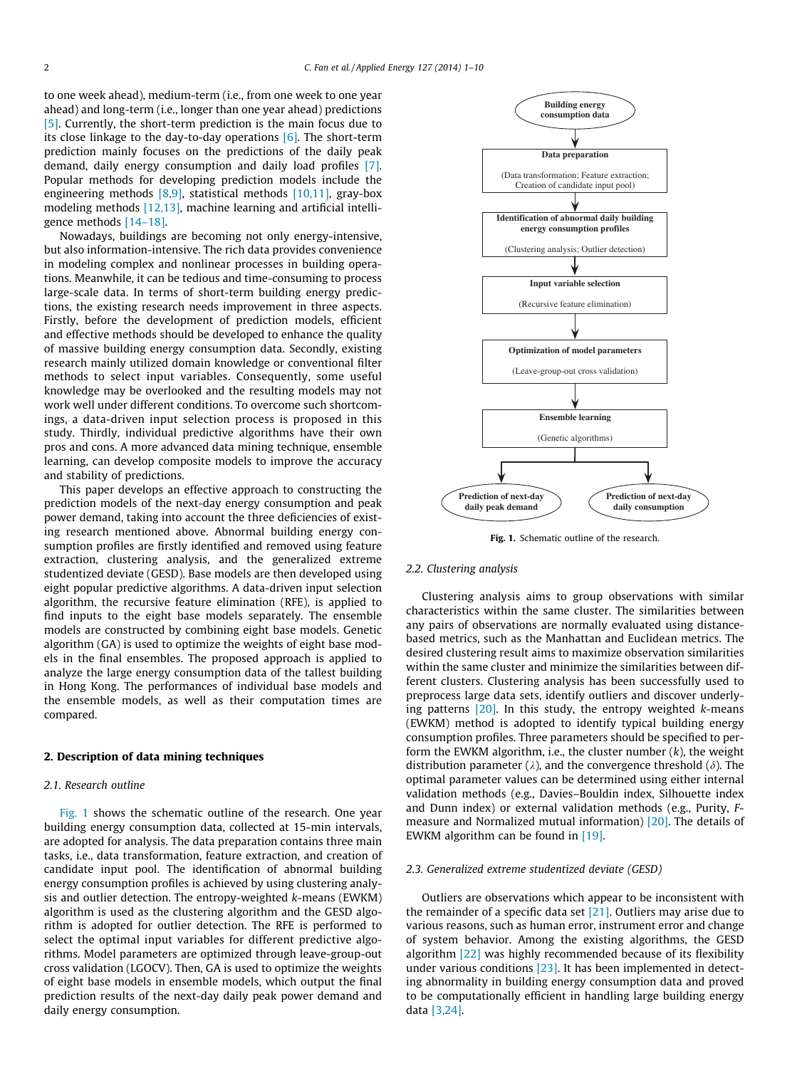to one week ahead), medium-term (i.e., from one week to one year ahead) and long-term (i.e., longer than one year ahead) predictions [\[5\]](#page--1-0). Currently, the short-term prediction is the main focus due to its close linkage to the day-to-day operations [\[6\].](#page--1-0) The short-term prediction mainly focuses on the predictions of the daily peak demand, daily energy consumption and daily load profiles [\[7\].](#page--1-0) Popular methods for developing prediction models include the engineering methods  $[8,9]$ , statistical methods  $[10,11]$ , gray-box modeling methods [\[12,13\],](#page--1-0) machine learning and artificial intelligence methods [\[14–18\].](#page--1-0)

Nowadays, buildings are becoming not only energy-intensive, but also information-intensive. The rich data provides convenience in modeling complex and nonlinear processes in building operations. Meanwhile, it can be tedious and time-consuming to process large-scale data. In terms of short-term building energy predictions, the existing research needs improvement in three aspects. Firstly, before the development of prediction models, efficient and effective methods should be developed to enhance the quality of massive building energy consumption data. Secondly, existing research mainly utilized domain knowledge or conventional filter methods to select input variables. Consequently, some useful knowledge may be overlooked and the resulting models may not work well under different conditions. To overcome such shortcomings, a data-driven input selection process is proposed in this study. Thirdly, individual predictive algorithms have their own pros and cons. A more advanced data mining technique, ensemble learning, can develop composite models to improve the accuracy and stability of predictions.

This paper develops an effective approach to constructing the prediction models of the next-day energy consumption and peak power demand, taking into account the three deficiencies of existing research mentioned above. Abnormal building energy consumption profiles are firstly identified and removed using feature extraction, clustering analysis, and the generalized extreme studentized deviate (GESD). Base models are then developed using eight popular predictive algorithms. A data-driven input selection algorithm, the recursive feature elimination (RFE), is applied to find inputs to the eight base models separately. The ensemble models are constructed by combining eight base models. Genetic algorithm (GA) is used to optimize the weights of eight base models in the final ensembles. The proposed approach is applied to analyze the large energy consumption data of the tallest building in Hong Kong. The performances of individual base models and the ensemble models, as well as their computation times are compared.

#### 2. Description of data mining techniques

#### 2.1. Research outline

Fig. 1 shows the schematic outline of the research. One year building energy consumption data, collected at 15-min intervals, are adopted for analysis. The data preparation contains three main tasks, i.e., data transformation, feature extraction, and creation of candidate input pool. The identification of abnormal building energy consumption profiles is achieved by using clustering analysis and outlier detection. The entropy-weighted k-means (EWKM) algorithm is used as the clustering algorithm and the GESD algorithm is adopted for outlier detection. The RFE is performed to select the optimal input variables for different predictive algorithms. Model parameters are optimized through leave-group-out cross validation (LGOCV). Then, GA is used to optimize the weights of eight base models in ensemble models, which output the final prediction results of the next-day daily peak power demand and daily energy consumption.



Fig. 1. Schematic outline of the research.

#### 2.2. Clustering analysis

Clustering analysis aims to group observations with similar characteristics within the same cluster. The similarities between any pairs of observations are normally evaluated using distancebased metrics, such as the Manhattan and Euclidean metrics. The desired clustering result aims to maximize observation similarities within the same cluster and minimize the similarities between different clusters. Clustering analysis has been successfully used to preprocess large data sets, identify outliers and discover underlying patterns  $[20]$ . In this study, the entropy weighted k-means (EWKM) method is adopted to identify typical building energy consumption profiles. Three parameters should be specified to perform the EWKM algorithm, i.e., the cluster number  $(k)$ , the weight distribution parameter ( $\lambda$ ), and the convergence threshold ( $\delta$ ). The optimal parameter values can be determined using either internal validation methods (e.g., Davies–Bouldin index, Silhouette index and Dunn index) or external validation methods (e.g., Purity, Fmeasure and Normalized mutual information) [\[20\]](#page--1-0). The details of EWKM algorithm can be found in [\[19\].](#page--1-0)

#### 2.3. Generalized extreme studentized deviate (GESD)

Outliers are observations which appear to be inconsistent with the remainder of a specific data set  $[21]$ . Outliers may arise due to various reasons, such as human error, instrument error and change of system behavior. Among the existing algorithms, the GESD algorithm [\[22\]](#page--1-0) was highly recommended because of its flexibility under various conditions [\[23\]](#page--1-0). It has been implemented in detecting abnormality in building energy consumption data and proved to be computationally efficient in handling large building energy data [\[3,24\].](#page--1-0)